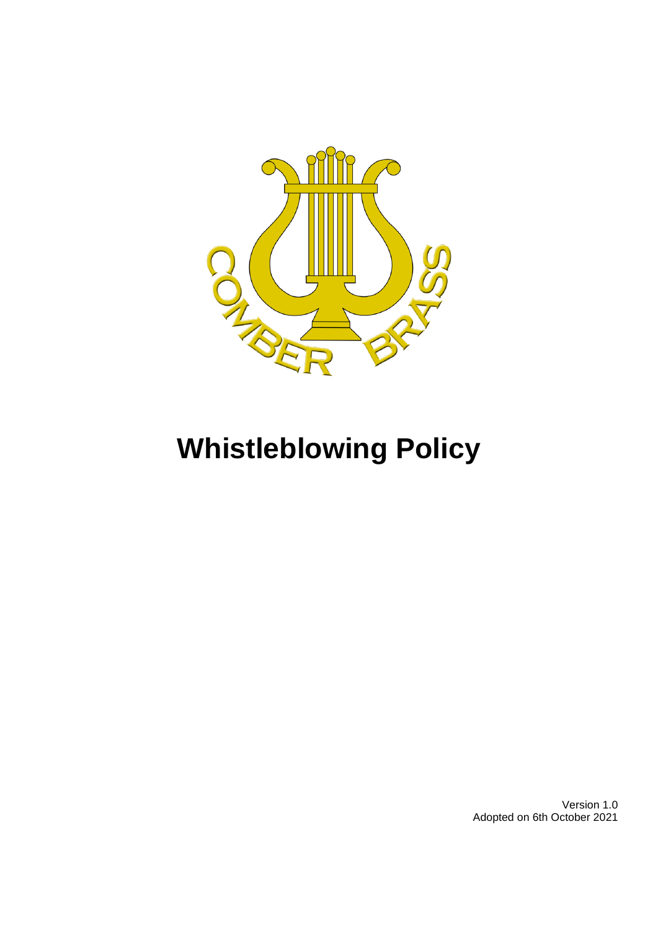

# **Whistleblowing Policy**

Version 1.0 Adopted on 6th October 2021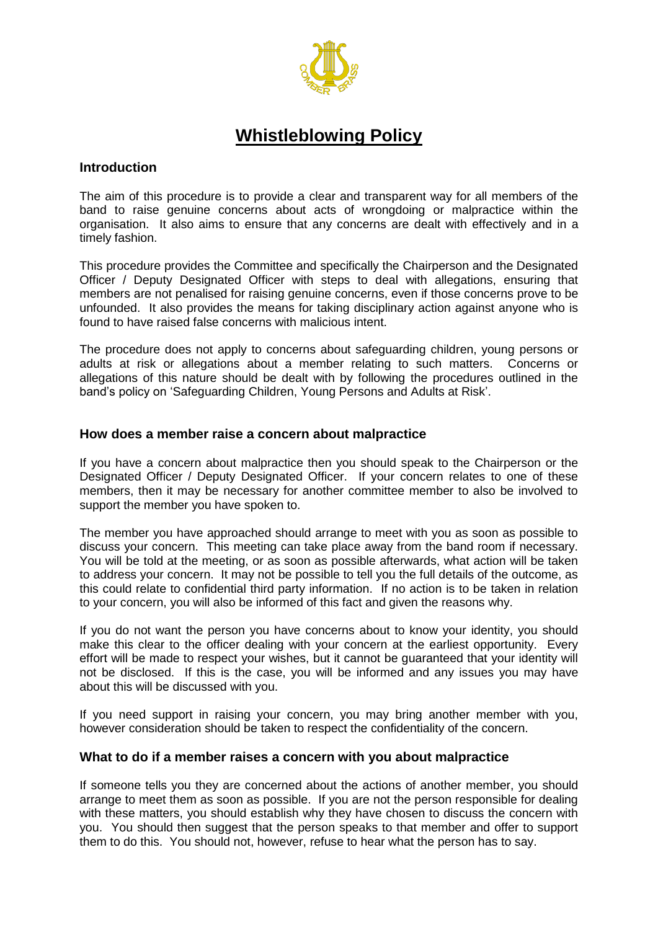

# **Whistleblowing Policy**

#### **Introduction**

The aim of this procedure is to provide a clear and transparent way for all members of the band to raise genuine concerns about acts of wrongdoing or malpractice within the organisation. It also aims to ensure that any concerns are dealt with effectively and in a timely fashion.

This procedure provides the Committee and specifically the Chairperson and the Designated Officer / Deputy Designated Officer with steps to deal with allegations, ensuring that members are not penalised for raising genuine concerns, even if those concerns prove to be unfounded. It also provides the means for taking disciplinary action against anyone who is found to have raised false concerns with malicious intent.

The procedure does not apply to concerns about safeguarding children, young persons or adults at risk or allegations about a member relating to such matters. Concerns or allegations of this nature should be dealt with by following the procedures outlined in the band's policy on 'Safeguarding Children, Young Persons and Adults at Risk'.

#### **How does a member raise a concern about malpractice**

If you have a concern about malpractice then you should speak to the Chairperson or the Designated Officer / Deputy Designated Officer. If your concern relates to one of these members, then it may be necessary for another committee member to also be involved to support the member you have spoken to.

The member you have approached should arrange to meet with you as soon as possible to discuss your concern. This meeting can take place away from the band room if necessary. You will be told at the meeting, or as soon as possible afterwards, what action will be taken to address your concern. It may not be possible to tell you the full details of the outcome, as this could relate to confidential third party information. If no action is to be taken in relation to your concern, you will also be informed of this fact and given the reasons why.

If you do not want the person you have concerns about to know your identity, you should make this clear to the officer dealing with your concern at the earliest opportunity. Every effort will be made to respect your wishes, but it cannot be guaranteed that your identity will not be disclosed. If this is the case, you will be informed and any issues you may have about this will be discussed with you.

If you need support in raising your concern, you may bring another member with you, however consideration should be taken to respect the confidentiality of the concern.

#### **What to do if a member raises a concern with you about malpractice**

If someone tells you they are concerned about the actions of another member, you should arrange to meet them as soon as possible. If you are not the person responsible for dealing with these matters, you should establish why they have chosen to discuss the concern with you. You should then suggest that the person speaks to that member and offer to support them to do this. You should not, however, refuse to hear what the person has to say.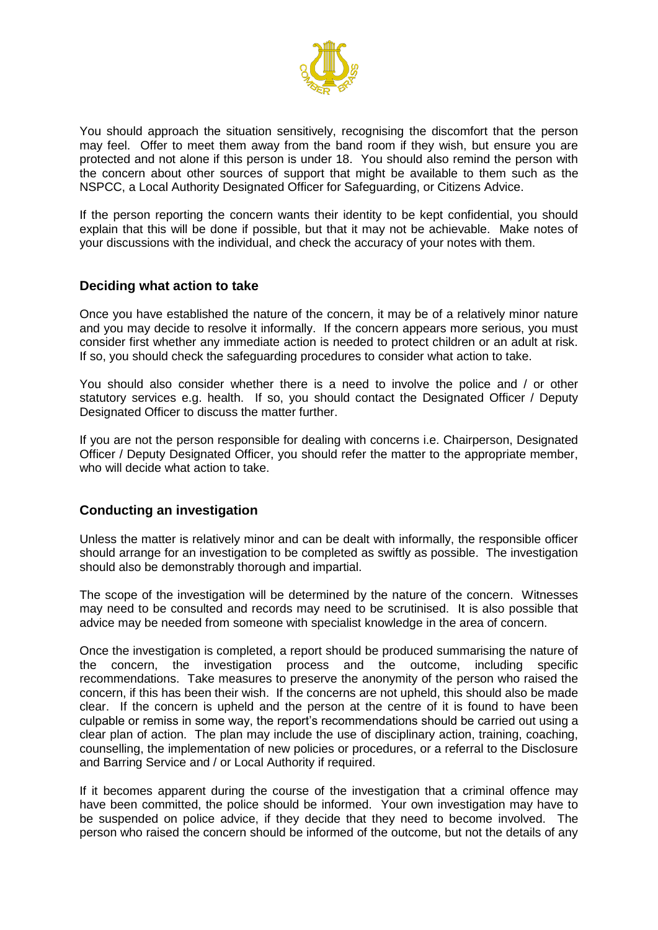

You should approach the situation sensitively, recognising the discomfort that the person may feel. Offer to meet them away from the band room if they wish, but ensure you are protected and not alone if this person is under 18. You should also remind the person with the concern about other sources of support that might be available to them such as the NSPCC, a Local Authority Designated Officer for Safeguarding, or Citizens Advice.

If the person reporting the concern wants their identity to be kept confidential, you should explain that this will be done if possible, but that it may not be achievable. Make notes of your discussions with the individual, and check the accuracy of your notes with them.

#### **Deciding what action to take**

Once you have established the nature of the concern, it may be of a relatively minor nature and you may decide to resolve it informally. If the concern appears more serious, you must consider first whether any immediate action is needed to protect children or an adult at risk. If so, you should check the safeguarding procedures to consider what action to take.

You should also consider whether there is a need to involve the police and / or other statutory services e.g. health. If so, you should contact the Designated Officer / Deputy Designated Officer to discuss the matter further.

If you are not the person responsible for dealing with concerns i.e. Chairperson, Designated Officer / Deputy Designated Officer, you should refer the matter to the appropriate member, who will decide what action to take.

## **Conducting an investigation**

Unless the matter is relatively minor and can be dealt with informally, the responsible officer should arrange for an investigation to be completed as swiftly as possible. The investigation should also be demonstrably thorough and impartial.

The scope of the investigation will be determined by the nature of the concern. Witnesses may need to be consulted and records may need to be scrutinised. It is also possible that advice may be needed from someone with specialist knowledge in the area of concern.

Once the investigation is completed, a report should be produced summarising the nature of the concern, the investigation process and the outcome, including specific recommendations. Take measures to preserve the anonymity of the person who raised the concern, if this has been their wish. If the concerns are not upheld, this should also be made clear. If the concern is upheld and the person at the centre of it is found to have been culpable or remiss in some way, the report's recommendations should be carried out using a clear plan of action. The plan may include the use of disciplinary action, training, coaching, counselling, the implementation of new policies or procedures, or a referral to the Disclosure and Barring Service and / or Local Authority if required.

If it becomes apparent during the course of the investigation that a criminal offence may have been committed, the police should be informed. Your own investigation may have to be suspended on police advice, if they decide that they need to become involved. The person who raised the concern should be informed of the outcome, but not the details of any